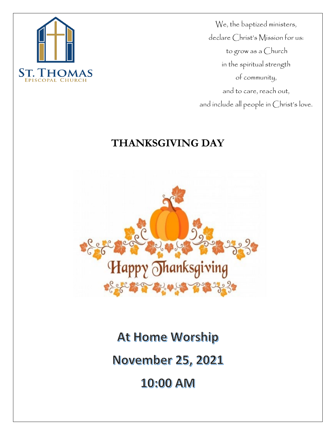

We, the baptized ministers, declare Christ's Mission for us: to grow as a Church in the spiritual strength of community, and to care, reach out, and include all people in Christ's love.

# **THANKSGIVING DAY**



At Home Worship

**November 25, 2021** 

10:00 AM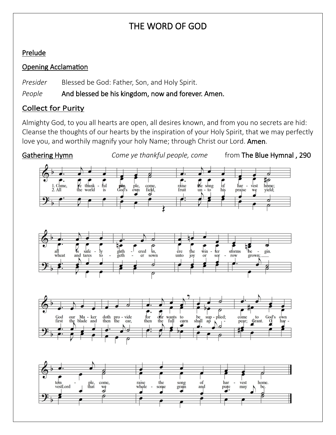## THE WORD OF GOD

### Prelude

### **Opening Acclamation**

*Presider* Blessed be God: Father, Son, and Holy Spirit.

*People* And blessed be his kingdom, now and forever. Amen.

## Collect for Purity

Almighty God, to you all hearts are open, all desires known, and from you no secrets are hid: Cleanse the thoughts of our hearts by the inspiration of your Holy Spirit, that we may perfectly love you, and worthily magnify your holy Name; through Christ our Lord. Amen.

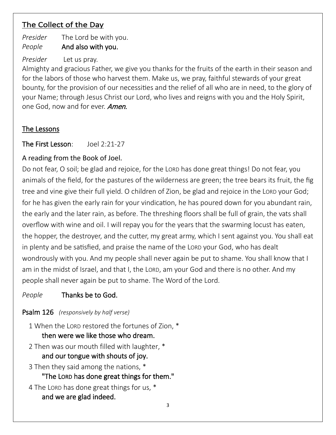### The Collect of the Day

*Presider* The Lord be with you. *People* And also with you.

### *Presider* Let us pray.

Almighty and gracious Father, we give you thanks for the fruits of the earth in their season and for the labors of those who harvest them. Make us, we pray, faithful stewards of your great bounty, for the provision of our necessities and the relief of all who are in need, to the glory of your Name; through Jesus Christ our Lord, who lives and reigns with you and the Holy Spirit, one God, now and for ever. Amen.

### The Lessons

The First Lesson: Joel 2:21-27

### A reading from the Book of Joel.

Do not fear, O soil; be glad and rejoice, for the LORD has done great things! Do not fear, you animals of the field, for the pastures of the wilderness are green; the tree bears its fruit, the fig tree and vine give their full yield. O children of Zion, be glad and rejoice in the LORD your God; for he has given the early rain for your vindication, he has poured down for you abundant rain, the early and the later rain, as before. The threshing floors shall be full of grain, the vats shall overflow with wine and oil. I will repay you for the years that the swarming locust has eaten, the hopper, the destroyer, and the cutter, my great army, which I sent against you. You shall eat in plenty and be satisfied, and praise the name of the LORD your God, who has dealt wondrously with you. And my people shall never again be put to shame. You shall know that I am in the midst of Israel, and that I, the LORD, am your God and there is no other. And my people shall never again be put to shame. The Word of the Lord.

### *People* Thanks be to God.

### Psalm 126 *(responsively by half verse)*

- 1 When the LORD restored the fortunes of Zion, \* then were we like those who dream. 2 Then was our mouth filled with laughter, \*
	- and our tongue with shouts of joy.
- 3 Then they said among the nations, \* "The LORD has done great things for them."
- 4 The LORD has done great things for us, \* and we are glad indeed.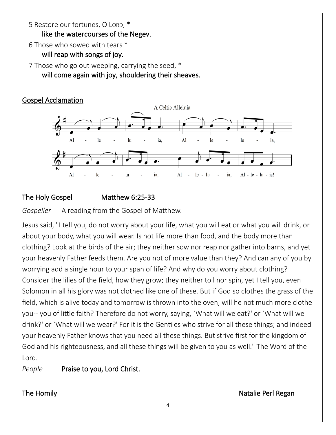### 5 Restore our fortunes, O LORD, \*

like the watercourses of the Negev.

6 Those who sowed with tears \*

will reap with songs of joy.

7 Those who go out weeping, carrying the seed, \* will come again with joy, shouldering their sheaves.

### Gospel Acclamation



### The Holy Gospel Matthew 6:25-33

Gospeller A reading from the Gospel of Matthew.

Jesus said, "I tell you, do not worry about your life, what you will eat or what you will drink, or about your body, what you will wear. Is not life more than food, and the body more than clothing? Look at the birds of the air; they neither sow nor reap nor gather into barns, and yet your heavenly Father feeds them. Are you not of more value than they? And can any of you by worrying add a single hour to your span of life? And why do you worry about clothing? Consider the lilies of the field, how they grow; they neither toil nor spin, yet I tell you, even Solomon in all his glory was not clothed like one of these. But if God so clothes the grass of the field, which is alive today and tomorrow is thrown into the oven, will he not much more clothe you-- you of litle faith? Therefore do not worry, saying, `What will we eat?' or `What will we drink?' or `What will we wear?' For it is the Gentiles who strive for all these things; and indeed your heavenly Father knows that you need all these things. But strive first for the kingdom of God and his righteousness, and all these things will be given to you as well." The Word of the Lord.

*People* Praise to you, Lord Christ.

The Homily **Natalie Perl Regan**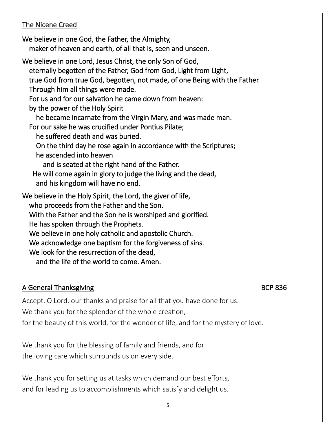### The Nicene Creed

We believe in one God, the Father, the Almighty, maker of heaven and earth, of all that is, seen and unseen. We believe in one Lord, Jesus Christ, the only Son of God, eternally begotten of the Father, God from God, Light from Light, true God from true God, begotten, not made, of one Being with the Father. Through him all things were made. For us and for our salvation he came down from heaven: by the power of the Holy Spirit he became incarnate from the Virgin Mary, and was made man. For our sake he was crucified under Pontius Pilate; he suffered death and was buried. On the third day he rose again in accordance with the Scriptures; he ascended into heaven and is seated at the right hand of the Father. He will come again in glory to judge the living and the dead, and his kingdom will have no end. We believe in the Holy Spirit, the Lord, the giver of life, who proceeds from the Father and the Son. With the Father and the Son he is worshiped and glorified. He has spoken through the Prophets. We believe in one holy catholic and apostolic Church. We acknowledge one baptism for the forgiveness of sins. We look for the resurrection of the dead. and the life of the world to come. Amen.

### A General Thanksgiving and the state of the state of the state BCP 836

Accept, O Lord, our thanks and praise for all that you have done for us.

We thank you for the splendor of the whole creation,

for the beauty of this world, for the wonder of life, and for the mystery of love.

We thank you for the blessing of family and friends, and for the loving care which surrounds us on every side.

We thank you for setting us at tasks which demand our best efforts, and for leading us to accomplishments which satisfy and delight us.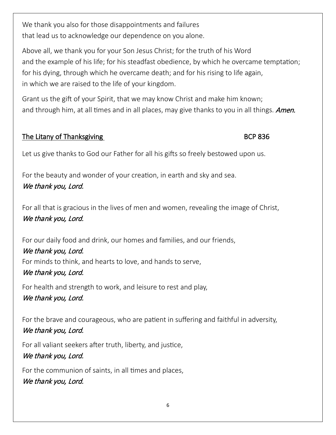We thank you also for those disappointments and failures that lead us to acknowledge our dependence on you alone.

Above all, we thank you for your Son Jesus Christ; for the truth of his Word and the example of his life; for his steadfast obedience, by which he overcame temptation; for his dying, through which he overcame death; and for his rising to life again, in which we are raised to the life of your kingdom.

Grant us the gift of your Spirit, that we may know Christ and make him known; and through him, at all times and in all places, may give thanks to you in all things. Amen.

### The Litany of Thanksgiving and the state of the Litany of Thanksgiving and the state of the BCP 836

Let us give thanks to God our Father for all his gifts so freely bestowed upon us.

For the beauty and wonder of your creation, in earth and sky and sea. We thank you, Lord.

For all that is gracious in the lives of men and women, revealing the image of Christ, We thank you, Lord.

For our daily food and drink, our homes and families, and our friends, We thank you, Lord. For minds to think, and hearts to love, and hands to serve, We thank you, Lord.

For health and strength to work, and leisure to rest and play, We thank you, Lord.

For the brave and courageous, who are patient in suffering and faithful in adversity, We thank you, Lord.

For all valiant seekers after truth, liberty, and justice,

### We thank you, Lord.

For the communion of saints, in all times and places, We thank you, Lord.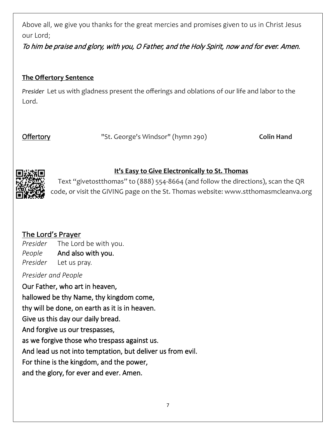Above all, we give you thanks for the great mercies and promises given to us in Christ Jesus our Lord;

To him be praise and glory, with you, O Father, and the Holy Spirit, now and for ever. Amen.

### **The Offertory Sentence**

*Presider* Let us with gladness present the offerings and oblations of our life and labor to the Lord.

Offertory **Colin Hand Colin Hand Colin Hand Colin Hand** 



### **It's Easy to Give Electronically to St. Thomas**

Text "givetostthomas" to (888) 554-8664 (and follow the directions), scan the QR code, or visit the GIVING page on the St. Thomas website: www.stthomasmcleanva.org

The Lord's Prayer

*Presider* The Lord be with you. *People* And also with you. *Presider* Let us pray.

*Presider and People*

Our Father, who art in heaven, hallowed be thy Name, thy kingdom come, thy will be done, on earth as it is in heaven. Give us this day our daily bread. And forgive us our trespasses, as we forgive those who trespass against us. And lead us not into temptation, but deliver us from evil. For thine is the kingdom, and the power, and the glory, for ever and ever. Amen.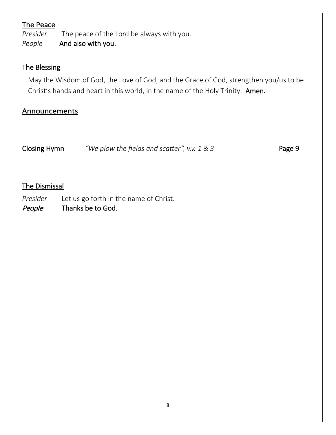### The Peace

*Presider* The peace of the Lord be always with you.

*People* And also with you.

### The Blessing

May the Wisdom of God, the Love of God, and the Grace of God, strengthen you/us to be Christ's hands and heart in this world, in the name of the Holy Trinity. Amen.

### **Announcements**

Closing Hymn *"We plow the fields and scatter", v.v. 1 & 3* Page 9

### The Dismissal

*Presider* Let us go forth in the name of Christ.

### People Thanks be to God.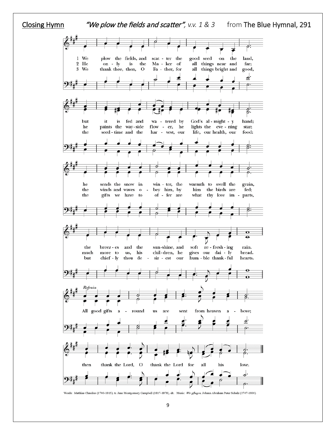### Closing Hymn "We plow the fields and scatter", v.v. 1 & 3 from The Blue Hymnal, 291 1 We plow the fields, and scat - ter the good seed on land, the  $2$  He  $\,$ on -  $\lg$ Ma - ker of all things near and is the far; 3 We thank thee, then, O Fa - ther, for all things bright and good, <u>ক</u>. but it fed and wa - tered by God's al-might-y hand; is paints the way-side flow - er, he lights the eve - ning he star; the seed - time and the har - vest, our life, our health, our food: he sends the snow in win - ter, the warmth to swell the grain, the winds and waves o bey him, by him the birds are fed; the gifts we have to of - fer are what thy love im - parts,  $\mathbf{o}$  $\overline{\mathbf{e}}$ re - fresh - ing the breez - es and the sun-shine, and soft rain. gives our dai - ly much more to us, his chil-dren, he bread. thou de but chief - ly sir - est our hum - ble thank - ful hearts. Refrain All good gifts a round from heaven bove;  $\sim$  $\,$  us are sent  $\mathbf{a}$  $\sim$ ₹. thank the Lord, O thank the Lord for  $\mathbf{all}$ then his love. 9:1  $\sigma$ Words: Matthias Claudius (1740-1815); tr. Jane Montgomery Campbell (1817-1878), alt. Music: Wir pflugen, Johann Abraham Peter Schulz (1747-1800)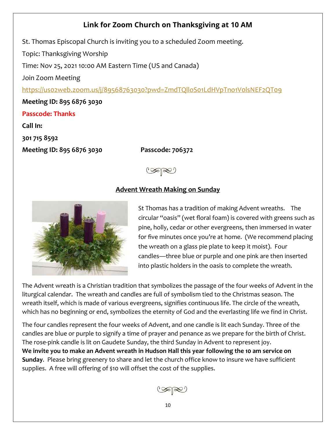### **Link for Zoom Church on Thanksgiving at 10 AM**

St. Thomas Episcopal Church is inviting you to a scheduled Zoom meeting.

Topic: Thanksgiving Worship

Time: Nov 25, 2021 10:00 AM Eastern Time (US and Canada)

Join Zoom Meeting

<https://us02web.zoom.us/j/89568763030?pwd=ZmdTQlloS01LdHVpTno1V0lsNEF2QT09>

**Meeting ID: 895 6876 3030**

**Passcode: Thanks**

**Call In:**

**301 715 8592** 

**Meeting ID: 895 6876 3030 Passcode: 706372**



### **Advent Wreath Making on Sunday**



St Thomas has a tradition of making Advent wreaths. The circular "oasis" (wet floral foam) is covered with greens such as pine, holly, cedar or other evergreens, then immersed in water for five minutes once you're at home. (We recommend placing the wreath on a glass pie plate to keep it moist). Four candles—three blue or purple and one pink are then inserted into plastic holders in the oasis to complete the wreath.

The Advent wreath is a Christian tradition that symbolizes the passage of the four weeks of Advent in the liturgical calendar. The wreath and candles are full of symbolism tied to the Christmas season. The wreath itself, which is made of various evergreens, signifies continuous life. The circle of the wreath, which has no beginning or end, symbolizes the eternity of God and the everlasting life we find in Christ.

The four candles represent the four weeks of Advent, and one candle is lit each Sunday. Three of the candles are blue or purple to signify a time of prayer and penance as we prepare for the birth of Christ. The rose-pink candle is lit on Gaudete Sunday, the third Sunday in Advent to represent joy. **We invite you to make an Advent wreath in Hudson Hall this year following the 10 am service on Sunday**. Please bring greenery to share and let the church office know to insure we have sufficient supplies. A free will offering of \$10 will offset the cost of the supplies.